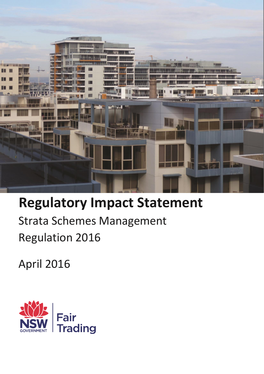

# **Regulatory Impact Statement**

Strata Schemes Management Regulation 2016

April 2016

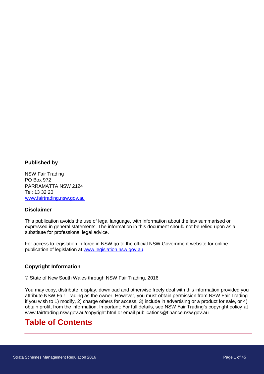#### **Published by**

NSW Fair Trading PO Box 972 PARRAMATTA NSW 2124 Tel: 13 32 20 [www.fairtrading.nsw.gov.au](http://www.fairtrading.nsw.gov.au/)

#### **Disclaimer**

This publication avoids the use of legal language, with information about the law summarised or expressed in general statements. The information in this document should not be relied upon as a substitute for professional legal advice.

For access to legislation in force in NSW go to the official NSW Government website for online publication of legislation at [www.legislation.nsw.gov.au.](http://www.legislation.nsw.gov.au/)

#### **Copyright Information**

© State of New South Wales through NSW Fair Trading, 2016

You may copy, distribute, display, download and otherwise freely deal with this information provided you attribute NSW Fair Trading as the owner. However, you must obtain permission from NSW Fair Trading if you wish to 1) modify, 2) charge others for access, 3) include in advertising or a product for sale, or 4) obtain profit, from the information. Important: For full details, see NSW Fair Trading's copyright policy at www.fairtrading.nsw.gov.au/copyright.html or email publications@finance.nsw.gov.au

# **Table of Contents**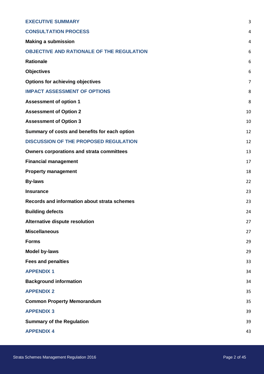| <b>EXECUTIVE SUMMARY</b>                         | 3  |
|--------------------------------------------------|----|
| <b>CONSULTATION PROCESS</b>                      | 4  |
| <b>Making a submission</b>                       | 4  |
| <b>OBJECTIVE AND RATIONALE OF THE REGULATION</b> | 6  |
| <b>Rationale</b>                                 | 6  |
| <b>Objectives</b>                                | 6  |
| <b>Options for achieving objectives</b>          | 7  |
| <b>IMPACT ASSESSMENT OF OPTIONS</b>              | 8  |
| <b>Assessment of option 1</b>                    | 8  |
| <b>Assessment of Option 2</b>                    | 10 |
| <b>Assessment of Option 3</b>                    | 10 |
| Summary of costs and benefits for each option    | 12 |
| <b>DISCUSSION OF THE PROPOSED REGULATION</b>     | 12 |
| <b>Owners corporations and strata committees</b> | 13 |
| <b>Financial management</b>                      | 17 |
| <b>Property management</b>                       | 18 |
| <b>By-laws</b>                                   | 22 |
| <b>Insurance</b>                                 | 23 |
| Records and information about strata schemes     | 23 |
| <b>Building defects</b>                          | 24 |
| Alternative dispute resolution                   | 27 |
| <b>Miscellaneous</b>                             | 27 |
| <b>Forms</b>                                     | 29 |
| <b>Model by-laws</b>                             | 29 |
| <b>Fees and penalties</b>                        | 33 |
| <b>APPENDIX 1</b>                                | 34 |
| <b>Background information</b>                    | 34 |
| <b>APPENDIX 2</b>                                | 35 |
| <b>Common Property Memorandum</b>                | 35 |
| <b>APPENDIX 3</b>                                | 39 |
| <b>Summary of the Regulation</b>                 | 39 |
| <b>APPENDIX 4</b>                                | 43 |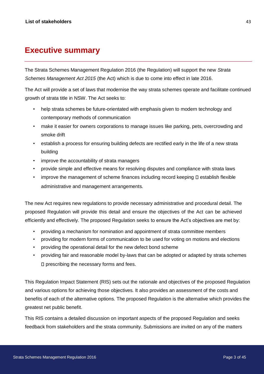# <span id="page-3-0"></span>**Executive summary**

The Strata Schemes Management Regulation 2016 (the Regulation) will support the new *Strata Schemes Management Act 2015* (the Act) which is due to come into effect in late 2016*.* 

The Act will provide a set of laws that modernise the way strata schemes operate and facilitate continued growth of strata title in NSW. The Act seeks to:

- help strata schemes be future-orientated with emphasis given to modern technology and contemporary methods of communication
- make it easier for owners corporations to manage issues like parking, pets, overcrowding and smoke drift
- establish a process for ensuring building defects are rectified early in the life of a new strata building
- improve the accountability of strata managers
- provide simple and effective means for resolving disputes and compliance with strata laws
- improve the management of scheme finances including record keeping  $\square$  establish flexible administrative and management arrangements.

The new Act requires new regulations to provide necessary administrative and procedural detail. The proposed Regulation will provide this detail and ensure the objectives of the Act can be achieved efficiently and effectively. The proposed Regulation seeks to ensure the Act's objectives are met by:

- providing a mechanism for nomination and appointment of strata committee members
- providing for modern forms of communication to be used for voting on motions and elections
- providing the operational detail for the new defect bond scheme
- providing fair and reasonable model by-laws that can be adopted or adapted by strata schemes  $\square$  prescribing the necessary forms and fees.

This Regulation Impact Statement (RIS) sets out the rationale and objectives of the proposed Regulation and various options for achieving those objectives. It also provides an assessment of the costs and benefits of each of the alternative options. The proposed Regulation is the alternative which provides the greatest net public benefit.

This RIS contains a detailed discussion on important aspects of the proposed Regulation and seeks feedback from stakeholders and the strata community. Submissions are invited on any of the matters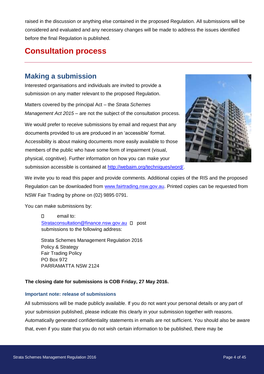raised in the discussion or anything else contained in the proposed Regulation. All submissions will be considered and evaluated and any necessary changes will be made to address the issues identified before the final Regulation is published.

# <span id="page-4-0"></span>**Consultation process**

# <span id="page-4-1"></span>**Making a submission**

Interested organisations and individuals are invited to provide a submission on any matter relevant to the proposed Regulation.

Matters covered by the principal Act – the *Strata Schemes Management Act 2015* – are not the subject of the consultation process.

We would prefer to receive submissions by email and request that any documents provided to us are produced in an 'accessible' format. Accessibility is about making documents more easily available to those members of the public who have some form of impairment (visual, physical, cognitive). Further information on how you can make your submission accessible is contained at [http://webaim.org/techniques/word/.](http://webaim.org/techniques/word/) 



We invite you to read this paper and provide comments. Additional copies of the RIS and the proposed Regulation can be downloaded from [www.fairtrading.nsw.gov.au.](http://www.fairtrading.nsw.gov.au/) Printed copies can be requested from NSW Fair Trading by phone on (02) 9895 0791.

You can make submissions by:

email to:  $\Box$ Strataconsultation@finance.nsw.gov.au D post submissions to the following address:

Strata Schemes Management Regulation 2016 Policy & Strategy Fair Trading Policy PO Box 972 PARRAMATTA NSW 2124

#### **The closing date for submissions is COB Friday, 27 May 2016.**

#### **Important note: release of submissions**

All submissions will be made publicly available. If you do not want your personal details or any part of your submission published, please indicate this clearly in your submission together with reasons. Automatically generated confidentiality statements in emails are not sufficient. You should also be aware that, even if you state that you do not wish certain information to be published, there may be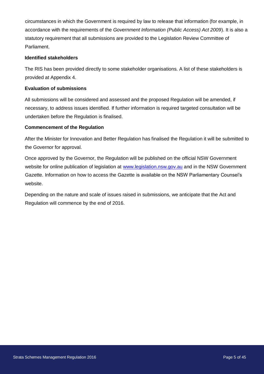circumstances in which the Government is required by law to release that information (for example, in accordance with the requirements of the *Government Information (Public Access) Act 2009*). It is also a statutory requirement that all submissions are provided to the Legislation Review Committee of Parliament.

#### **Identified stakeholders**

The RIS has been provided directly to some stakeholder organisations. A list of these stakeholders is provided at Appendix 4.

#### **Evaluation of submissions**

All submissions will be considered and assessed and the proposed Regulation will be amended, if necessary, to address issues identified. If further information is required targeted consultation will be undertaken before the Regulation is finalised.

#### **Commencement of the Regulation**

After the Minister for Innovation and Better Regulation has finalised the Regulation it will be submitted to the Governor for approval.

Once approved by the Governor, the Regulation will be published on the official NSW Government websi[t](http://www.legislation.nsw.gov.au/)e for online publication of legislation at [www.legislation.nsw.gov.au](http://www.legislation.nsw.gov.au/) and in the NSW Government Gazette*.* Information on how to access the Gazette is available on the NSW Parliamentary Counsel's website.

Depending on the nature and scale of issues raised in submissions, we anticipate that the Act and Regulation will commence by the end of 2016.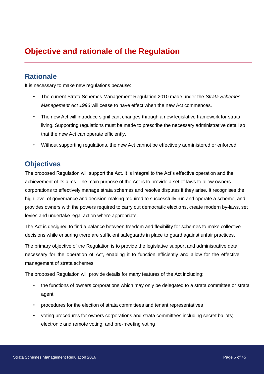# <span id="page-6-0"></span>**Objective and rationale of the Regulation**

# <span id="page-6-1"></span>**Rationale**

It is necessary to make new regulations because:

- The current Strata Schemes Management Regulation 2010 made under the *Strata Schemes Management Act 1996* will cease to have effect when the new Act commences.
- The new Act will introduce significant changes through a new legislative framework for strata living. Supporting regulations must be made to prescribe the necessary administrative detail so that the new Act can operate efficiently.
- Without supporting regulations, the new Act cannot be effectively administered or enforced.

# <span id="page-6-2"></span>**Objectives**

The proposed Regulation will support the Act. It is integral to the Act's effective operation and the achievement of its aims. The main purpose of the Act is to provide a set of laws to allow owners corporations to effectively manage strata schemes and resolve disputes if they arise. It recognises the high level of governance and decision-making required to successfully run and operate a scheme, and provides owners with the powers required to carry out democratic elections, create modern by-laws, set levies and undertake legal action where appropriate.

The Act is designed to find a balance between freedom and flexibility for schemes to make collective decisions while ensuring there are sufficient safeguards in place to guard against unfair practices.

The primary objective of the Regulation is to provide the legislative support and administrative detail necessary for the operation of Act, enabling it to function efficiently and allow for the effective management of strata schemes

The proposed Regulation will provide details for many features of the Act including:

- the functions of owners corporations which may only be delegated to a strata committee or strata agent
- procedures for the election of strata committees and tenant representatives
- voting procedures for owners corporations and strata committees including secret ballots; electronic and remote voting; and pre-meeting voting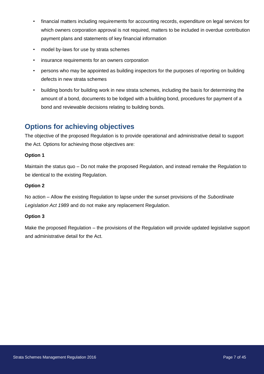- financial matters including requirements for accounting records, expenditure on legal services for which owners corporation approval is not required, matters to be included in overdue contribution payment plans and statements of key financial information
- model by-laws for use by strata schemes
- insurance requirements for an owners corporation
- persons who may be appointed as building inspectors for the purposes of reporting on building defects in new strata schemes
- building bonds for building work in new strata schemes, including the basis for determining the amount of a bond, documents to be lodged with a building bond, procedures for payment of a bond and reviewable decisions relating to building bonds.

# <span id="page-7-0"></span>**Options for achieving objectives**

The objective of the proposed Regulation is to provide operational and administrative detail to support the Act*.* Options for achieving those objectives are:

#### **Option 1**

Maintain the status quo – Do not make the proposed Regulation, and instead remake the Regulation to be identical to the existing Regulation.

#### **Option 2**

No action – Allow the existing Regulation to lapse under the sunset provisions of the *Subordinate Legislation Act 1989* and do not make any replacement Regulation.

#### **Option 3**

Make the proposed Regulation – the provisions of the Regulation will provide updated legislative support and administrative detail for the Act.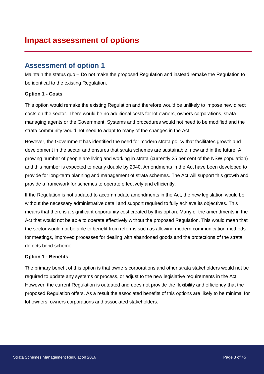# <span id="page-8-1"></span><span id="page-8-0"></span>**Assessment of option 1**

Maintain the status quo – Do not make the proposed Regulation and instead remake the Regulation to be identical to the existing Regulation.

#### **Option 1 - Costs**

This option would remake the existing Regulation and therefore would be unlikely to impose new direct costs on the sector. There would be no additional costs for lot owners, owners corporations, strata managing agents or the Government. Systems and procedures would not need to be modified and the strata community would not need to adapt to many of the changes in the Act.

However, the Government has identified the need for modern strata policy that facilitates growth and development in the sector and ensures that strata schemes are sustainable, now and in the future. A growing number of people are living and working in strata (currently 25 per cent of the NSW population) and this number is expected to nearly double by 2040. Amendments in the Act have been developed to provide for long-term planning and management of strata schemes. The Act will support this growth and provide a framework for schemes to operate effectively and efficiently.

If the Regulation is not updated to accommodate amendments in the Act, the new legislation would be without the necessary administrative detail and support required to fully achieve its objectives. This means that there is a significant opportunity cost created by this option. Many of the amendments in the Act that would not be able to operate effectively without the proposed Regulation. This would mean that the sector would not be able to benefit from reforms such as allowing modern communication methods for meetings, improved processes for dealing with abandoned goods and the protections of the strata defects bond scheme.

#### **Option 1 - Benefits**

The primary benefit of this option is that owners corporations and other strata stakeholders would not be required to update any systems or process, or adjust to the new legislative requirements in the Act. However, the current Regulation is outdated and does not provide the flexibility and efficiency that the proposed Regulation offers. As a result the associated benefits of this options are likely to be minimal for lot owners, owners corporations and associated stakeholders.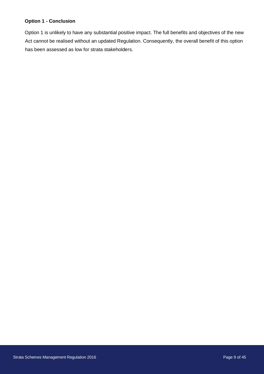#### **Option 1 - Conclusion**

Option 1 is unlikely to have any substantial positive impact. The full benefits and objectives of the new Act cannot be realised without an updated Regulation. Consequently, the overall benefit of this option has been assessed as low for strata stakeholders.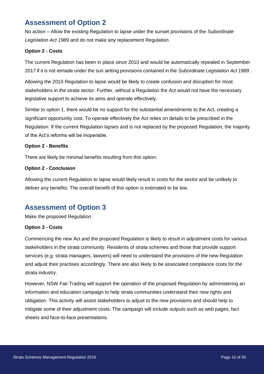# <span id="page-10-0"></span>**Assessment of Option 2**

No action – Allow the existing Regulation to lapse under the sunset provisions of the *Subordinate Legislation Act 1989* and do not make any replacement Regulation.

#### **Option 2 - Costs**

The current Regulation has been in place since 2010 and would be automatically repealed in September 2017 if it is not remade under the sun setting provisions contained in the *Subordinate Legislation Act 1989*.

Allowing the 2010 Regulation to lapse would be likely to create confusion and disruption for most stakeholders in the strata sector. Further, without a Regulation the Act would not have the necessary legislative support to achieve its aims and operate effectively.

Similar to option 1, there would be no support for the substantial amendments to the Act, creating a significant opportunity cost. To operate effectively the Act relies on details to be prescribed in the Regulation. If the current Regulation lapses and is not replaced by the proposed Regulation, the majority of the Act's reforms will be inoperable.

#### **Option 2 - Benefits**

There are likely be minimal benefits resulting from this option.

#### **Option 2 - Conclusion**

Allowing the current Regulation to lapse would likely result in costs for the sector and be unlikely to deliver any benefits. The overall benefit of this option is estimated to be low.

# <span id="page-10-1"></span>**Assessment of Option 3**

Make the proposed Regulation.

#### **Option 3 - Costs**

Commencing the new Act and the proposed Regulation is likely to result in adjustment costs for various stakeholders in the strata community. Residents of strata schemes and those that provide support services (e.g. strata managers, lawyers) will need to understand the provisions of the new Regulation and adjust their practises accordingly. There are also likely to be associated compliance costs for the strata industry.

However, NSW Fair Trading will support the operation of the proposed Regulation by administering an information and education campaign to help strata communities understand their new rights and obligation. This activity will assist stakeholders to adjust to the new provisions and should help to mitigate some of their adjustment costs. The campaign will include outputs such as web pages, fact sheets and face-to-face presentations.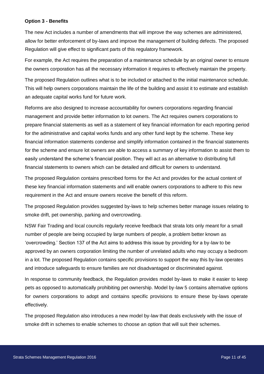#### **Option 3 - Benefits**

The new Act includes a number of amendments that will improve the way schemes are administered, allow for better enforcement of by-laws and improve the management of building defects. The proposed Regulation will give effect to significant parts of this regulatory framework.

For example, the Act requires the preparation of a maintenance schedule by an original owner to ensure the owners corporation has all the necessary information it requires to effectively maintain the property.

The proposed Regulation outlines what is to be included or attached to the initial maintenance schedule. This will help owners corporations maintain the life of the building and assist it to estimate and establish an adequate capital works fund for future work.

Reforms are also designed to increase accountability for owners corporations regarding financial management and provide better information to lot owners. The Act requires owners corporations to prepare financial statements as well as a statement of key financial information for each reporting period for the administrative and capital works funds and any other fund kept by the scheme. These key financial information statements condense and simplify information contained in the financial statements for the scheme and ensure lot owners are able to access a summary of key information to assist them to easily understand the scheme's financial position. They will act as an alternative to distributing full financial statements to owners which can be detailed and difficult for owners to understand.

The proposed Regulation contains prescribed forms for the Act and provides for the actual content of these key financial information statements and will enable owners corporations to adhere to this new requirement in the Act and ensure owners receive the benefit of this reform.

The proposed Regulation provides suggested by-laws to help schemes better manage issues relating to smoke drift, pet ownership, parking and overcrowding.

NSW Fair Trading and local councils regularly receive feedback that strata lots only meant for a small number of people are being occupied by large numbers of people, a problem better known as 'overcrowding.' Section 137 of the Act aims to address this issue by providing for a by-law to be approved by an owners corporation limiting the number of unrelated adults who may occupy a bedroom in a lot. The proposed Regulation contains specific provisions to support the way this by-law operates and introduce safeguards to ensure families are not disadvantaged or discriminated against.

In response to community feedback, the Regulation provides model by-laws to make it easier to keep pets as opposed to automatically prohibiting pet ownership. Model by-law 5 contains alternative options for owners corporations to adopt and contains specific provisions to ensure these by-laws operate effectively.

The proposed Regulation also introduces a new model by-law that deals exclusively with the issue of smoke drift in schemes to enable schemes to choose an option that will suit their schemes.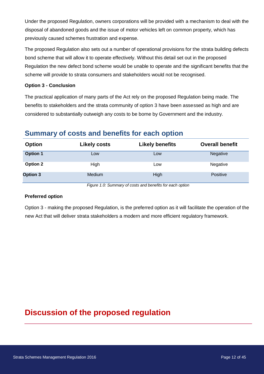Under the proposed Regulation, owners corporations will be provided with a mechanism to deal with the disposal of abandoned goods and the issue of motor vehicles left on common property, which has previously caused schemes frustration and expense.

The proposed Regulation also sets out a number of operational provisions for the strata building defects bond scheme that will allow it to operate effectively. Without this detail set out in the proposed Regulation the new defect bond scheme would be unable to operate and the significant benefits that the scheme will provide to strata consumers and stakeholders would not be recognised.

#### **Option 3 - Conclusion**

The practical application of many parts of the Act rely on the proposed Regulation being made. The benefits to stakeholders and the strata community of option 3 have been assessed as high and are considered to substantially outweigh any costs to be borne by Government and the industry.

# <span id="page-12-0"></span>**Summary of costs and benefits for each option**

| <b>Option</b>   | <b>Likely costs</b> | <b>Likely benefits</b> | <b>Overall benefit</b> |
|-----------------|---------------------|------------------------|------------------------|
| <b>Option 1</b> | Low                 | Low                    | Negative               |
| Option 2        | High                | Low                    | Negative               |
| <b>Option 3</b> | Medium              | High                   | <b>Positive</b>        |

*Figure 1.0: Summary of costs and benefits for each option* 

#### **Preferred option**

Option 3 - making the proposed Regulation, is the preferred option as it will facilitate the operation of the new Act that will deliver strata stakeholders a modern and more efficient regulatory framework.

# <span id="page-12-1"></span>**Discussion of the proposed regulation**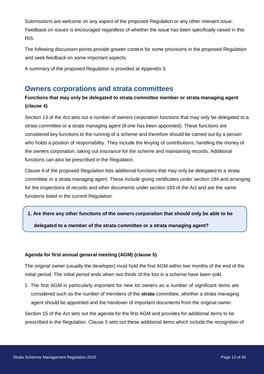Submissions are welcome on any aspect of the proposed Regulation or any other relevant issue. Feedback on issues is encouraged regardless of whether the issue has been specifically raised in this RIS.

The following discussion points provide greater context for some provisions in the proposed Regulation and seek feedback on some important aspects.

A summary of the proposed Regulation is provided at Appendix 3.

# <span id="page-13-0"></span>**Owners corporations and strata committees**

### **Functions that may only be delegated to strata committee member or strata managing agent (clause 4)**

Section 13 of the Act sets out a number of owners corporation functions that may only be delegated to a strata committee or a strata managing agent (if one has been appointed). These functions are considered key functions to the running of a scheme and therefore should be carried out by a person who holds a position of responsibility. They include the levying of contributions, handling the money of the owners corporation, taking out insurance for the scheme and maintaining records. Additional functions can also be prescribed in the Regulation.

Clause 4 of the proposed Regulation lists additional functions that may only be delegated to a strata committee or a strata managing agent. These include giving certificates under section 184 and arranging for the inspections of records and other documents under section 183 of the Act and are the same functions listed in the current Regulation.

**1. Are there any other functions of the owners corporation that should only be able to be** 

**delegated to a member of the strata committee or a strata managing agent?** 

#### **Agenda for first annual general meeting (AGM) (clause 5)**

The original owner (usually the developer) must hold the first AGM within two months of the end of the initial period. The initial period ends when two thirds of the lots in a scheme have been sold.

1. The first AGM is particularly important for new lot owners as a number of significant items are considered such as the number of members of the **strata** committee, whether a strata managing agent should be appointed and the handover of important documents from the original owner.

Section 15 of the Act sets out the agenda for the first AGM and provides for additional items to be prescribed in the Regulation. Clause 5 sets out these additional items which include the recognition of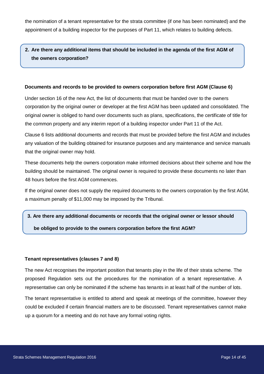the nomination of a tenant representative for the strata committee (if one has been nominated) and the appointment of a building inspector for the purposes of Part 11, which relates to building defects.

### **2. Are there any additional items that should be included in the agenda of the first AGM of the owners corporation?**

#### **Documents and records to be provided to owners corporation before first AGM (Clause 6)**

Under section 16 of the new Act, the list of documents that must be handed over to the owners corporation by the original owner or developer at the first AGM has been updated and consolidated. The original owner is obliged to hand over documents such as plans, specifications, the certificate of title for the common property and any interim report of a building inspector under Part 11 of the Act.

Clause 6 lists additional documents and records that must be provided before the first AGM and includes any valuation of the building obtained for insurance purposes and any maintenance and service manuals that the original owner may hold.

These documents help the owners corporation make informed decisions about their scheme and how the building should be maintained. The original owner is required to provide these documents no later than 48 hours before the first AGM commences.

If the original owner does not supply the required documents to the owners corporation by the first AGM, a maximum penalty of \$11,000 may be imposed by the Tribunal.

#### **3. Are there any additional documents or records that the original owner or lessor should**

**be obliged to provide to the owners corporation before the first AGM?** 

#### **Tenant representatives (clauses 7 and 8)**

The new Act recognises the important position that tenants play in the life of their strata scheme. The proposed Regulation sets out the procedures for the nomination of a tenant representative. A representative can only be nominated if the scheme has tenants in at least half of the number of lots.

The tenant representative is entitled to attend and speak at meetings of the committee, however they could be excluded if certain financial matters are to be discussed. Tenant representatives cannot make up a quorum for a meeting and do not have any formal voting rights.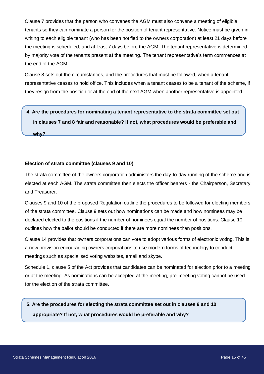Clause 7 provides that the person who convenes the AGM must also convene a meeting of eligible tenants so they can nominate a person for the position of tenant representative. Notice must be given in writing to each eligible tenant (who has been notified to the owners corporation) at least 21 days before the meeting is scheduled, and at least 7 days before the AGM. The tenant representative is determined by majority vote of the tenants present at the meeting. The tenant representative's term commences at the end of the AGM.

Clause 8 sets out the circumstances, and the procedures that must be followed, when a tenant representative ceases to hold office. This includes when a tenant ceases to be a tenant of the scheme, if they resign from the position or at the end of the next AGM when another representative is appointed.

# **4. Are the procedures for nominating a tenant representative to the strata committee set out in clauses 7 and 8 fair and reasonable? If not, what procedures would be preferable and why?**

#### **Election of strata committee (clauses 9 and 10)**

The strata committee of the owners corporation administers the day-to-day running of the scheme and is elected at each AGM. The strata committee then elects the officer bearers - the Chairperson, Secretary and Treasurer.

Clauses 9 and 10 of the proposed Regulation outline the procedures to be followed for electing members of the strata committee. Clause 9 sets out how nominations can be made and how nominees may be declared elected to the positions if the number of nominees equal the number of positions. Clause 10 outlines how the ballot should be conducted if there are more nominees than positions.

Clause 14 provides that owners corporations can vote to adopt various forms of electronic voting. This is a new provision encouraging owners corporations to use modern forms of technology to conduct meetings such as specialised voting websites, email and skype.

Schedule 1, clause 5 of the Act provides that candidates can be nominated for election prior to a meeting or at the meeting. As nominations can be accepted at the meeting, pre-meeting voting cannot be used for the election of the strata committee.

**5. Are the procedures for electing the strata committee set out in clauses 9 and 10 appropriate? If not, what procedures would be preferable and why?**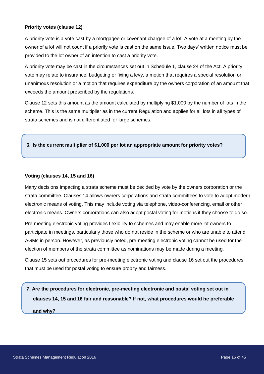#### **Priority votes (clause 12)**

A priority vote is a vote cast by a mortgagee or covenant chargee of a lot. A vote at a meeting by the owner of a lot will not count if a priority vote is cast on the same issue. Two days' written notice must be provided to the lot owner of an intention to cast a priority vote.

A priority vote may be cast in the circumstances set out in Schedule 1, clause 24 of the Act. A priority vote may relate to insurance, budgeting or fixing a levy, a motion that requires a special resolution or unanimous resolution or a motion that requires expenditure by the owners corporation of an amount that exceeds the amount prescribed by the regulations.

Clause 12 sets this amount as the amount calculated by multiplying \$1,000 by the number of lots in the scheme. This is the same multiplier as in the current Regulation and applies for all lots in all types of strata schemes and is not differentiated for large schemes.

#### **6. Is the current multiplier of \$1,000 per lot an appropriate amount for priority votes?**

#### **Voting (clauses 14, 15 and 16)**

Many decisions impacting a strata scheme must be decided by vote by the owners corporation or the strata committee. Clauses 14 allows owners corporations and strata committees to vote to adopt modern electronic means of voting. This may include voting via telephone, video-conferencing, email or other electronic means. Owners corporations can also adopt postal voting for motions if they choose to do so.

Pre-meeting electronic voting provides flexibility to schemes and may enable more lot owners to participate in meetings, particularly those who do not reside in the scheme or who are unable to attend AGMs in person. However, as previously noted, pre-meeting electronic voting cannot be used for the election of members of the strata committee as nominations may be made during a meeting.

Clause 15 sets out procedures for pre-meeting electronic voting and clause 16 set out the procedures that must be used for postal voting to ensure probity and fairness.

**7. Are the procedures for electronic, pre-meeting electronic and postal voting set out in clauses 14, 15 and 16 fair and reasonable? If not, what procedures would be preferable and why?**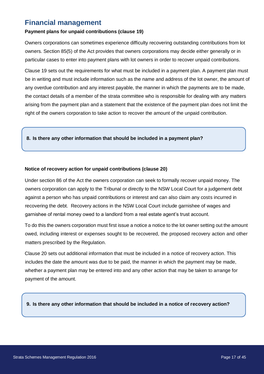# <span id="page-17-0"></span>**Financial management**

#### **Payment plans for unpaid contributions (clause 19)**

Owners corporations can sometimes experience difficulty recovering outstanding contributions from lot owners. Section 85(5) of the Act provides that owners corporations may decide either generally or in particular cases to enter into payment plans with lot owners in order to recover unpaid contributions.

Clause 19 sets out the requirements for what must be included in a payment plan. A payment plan must be in writing and must include information such as the name and address of the lot owner, the amount of any overdue contribution and any interest payable, the manner in which the payments are to be made, the contact details of a member of the strata committee who is responsible for dealing with any matters arising from the payment plan and a statement that the existence of the payment plan does not limit the right of the owners corporation to take action to recover the amount of the unpaid contribution.

#### **8. Is there any other information that should be included in a payment plan?**

#### **Notice of recovery action for unpaid contributions (clause 20)**

Under section 86 of the Act the owners corporation can seek to formally recover unpaid money. The owners corporation can apply to the Tribunal or directly to the NSW Local Court for a judgement debt against a person who has unpaid contributions or interest and can also claim any costs incurred in recovering the debt. Recovery actions in the NSW Local Court include garnishee of wages and garnishee of rental money owed to a landlord from a real estate agent's trust account.

To do this the owners corporation must first issue a notice a notice to the lot owner setting out the amount owed, including interest or expenses sought to be recovered, the proposed recovery action and other matters prescribed by the Regulation.

Clause 20 sets out additional information that must be included in a notice of recovery action. This includes the date the amount was due to be paid, the manner in which the payment may be made, whether a payment plan may be entered into and any other action that may be taken to arrange for payment of the amount.

**9. Is there any other information that should be included in a notice of recovery action?**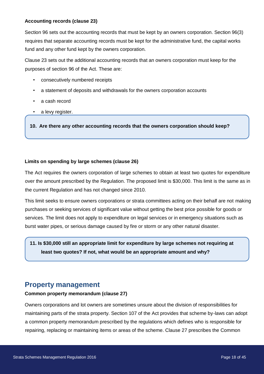#### **Accounting records (clause 23)**

Section 96 sets out the accounting records that must be kept by an owners corporation. Section 96(3) requires that separate accounting records must be kept for the administrative fund, the capital works fund and any other fund kept by the owners corporation.

Clause 23 sets out the additional accounting records that an owners corporation must keep for the purposes of section 96 of the Act. These are:

- consecutively numbered receipts
- a statement of deposits and withdrawals for the owners corporation accounts
- a cash record
- a levy register.

**10. Are there any other accounting records that the owners corporation should keep?** 

#### **Limits on spending by large schemes (clause 26)**

The Act requires the owners corporation of large schemes to obtain at least two quotes for expenditure over the amount prescribed by the Regulation. The proposed limit is \$30,000. This limit is the same as in the current Regulation and has not changed since 2010.

This limit seeks to ensure owners corporations or strata committees acting on their behalf are not making purchases or seeking services of significant value without getting the best price possible for goods or services. The limit does not apply to expenditure on legal services or in emergency situations such as burst water pipes, or serious damage caused by fire or storm or any other natural disaster.

**11. Is \$30,000 still an appropriate limit for expenditure by large schemes not requiring at least two quotes? If not, what would be an appropriate amount and why?** 

# <span id="page-18-0"></span>**Property management**

#### **Common property memorandum (clause 27)**

Owners corporations and lot owners are sometimes unsure about the division of responsibilities for maintaining parts of the strata property. Section 107 of the Act provides that scheme by-laws can adopt a common property memorandum prescribed by the regulations which defines who is responsible for repairing, replacing or maintaining items or areas of the scheme. Clause 27 prescribes the Common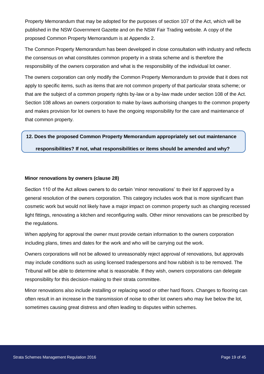Property Memorandum that may be adopted for the purposes of section 107 of the Act, which will be published in the NSW Government Gazette and on the NSW Fair Trading website. A copy of the proposed Common Property Memorandum is at Appendix 2.

The Common Property Memorandum has been developed in close consultation with industry and reflects the consensus on what constitutes common property in a strata scheme and is therefore the responsibility of the owners corporation and what is the responsibility of the individual lot owner.

The owners corporation can only modify the Common Property Memorandum to provide that it does not apply to specific items, such as items that are not common property of that particular strata scheme; or that are the subject of a common property rights by-law or a by-law made under section 108 of the Act. Section 108 allows an owners corporation to make by-laws authorising changes to the common property and makes provision for lot owners to have the ongoing responsibility for the care and maintenance of that common property.

# **12. Does the proposed Common Property Memorandum appropriately set out maintenance responsibilities? If not, what responsibilities or items should be amended and why?**

#### **Minor renovations by owners (clause 28)**

Section 110 of the Act allows owners to do certain 'minor renovations' to their lot if approved by a general resolution of the owners corporation. This category includes work that is more significant than cosmetic work but would not likely have a major impact on common property such as changing recessed light fittings, renovating a kitchen and reconfiguring walls. Other minor renovations can be prescribed by the regulations.

When applying for approval the owner must provide certain information to the owners corporation including plans, times and dates for the work and who will be carrying out the work.

Owners corporations will not be allowed to unreasonably reject approval of renovations, but approvals may include conditions such as using licensed tradespersons and how rubbish is to be removed. The Tribunal will be able to determine what is reasonable. If they wish, owners corporations can delegate responsibility for this decision-making to their strata committee.

Minor renovations also include installing or replacing wood or other hard floors. Changes to flooring can often result in an increase in the transmission of noise to other lot owners who may live below the lot, sometimes causing great distress and often leading to disputes within schemes.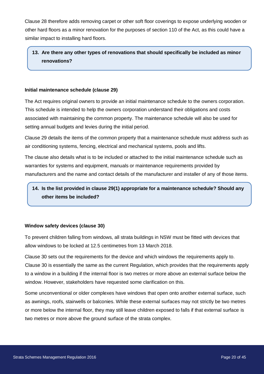Clause 28 therefore adds removing carpet or other soft floor coverings to expose underlying wooden or other hard floors as a minor renovation for the purposes of section 110 of the Act, as this could have a similar impact to installing hard floors.

### **13. Are there any other types of renovations that should specifically be included as minor renovations?**

#### **Initial maintenance schedule (clause 29)**

The Act requires original owners to provide an initial maintenance schedule to the owners corporation. This schedule is intended to help the owners corporation understand their obligations and costs associated with maintaining the common property. The maintenance schedule will also be used for setting annual budgets and levies during the initial period.

Clause 29 details the items of the common property that a maintenance schedule must address such as air conditioning systems, fencing, electrical and mechanical systems, pools and lifts.

The clause also details what is to be included or attached to the initial maintenance schedule such as warranties for systems and equipment, manuals or maintenance requirements provided by manufacturers and the name and contact details of the manufacturer and installer of any of those items.

### **14. Is the list provided in clause 29(1) appropriate for a maintenance schedule? Should any other items be included?**

#### **Window safety devices (clause 30)**

To prevent children falling from windows, all strata buildings in NSW must be fitted with devices that allow windows to be locked at 12.5 centimetres from 13 March 2018.

Clause 30 sets out the requirements for the device and which windows the requirements apply to. Clause 30 is essentially the same as the current Regulation, which provides that the requirements apply to a window in a building if the internal floor is two metres or more above an external surface below the window. However, stakeholders have requested some clarification on this.

Some unconventional or older complexes have windows that open onto another external surface, such as awnings, roofs, stairwells or balconies. While these external surfaces may not strictly be two metres or more below the internal floor, they may still leave children exposed to falls if that external surface is two metres or more above the ground surface of the strata complex.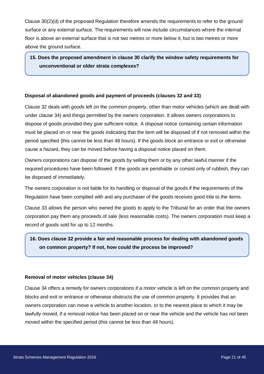Clause 30(2)(d) of the proposed Regulation therefore amends the requirements to refer to the ground surface or any external surface. The requirements will now include circumstances where the internal floor is above an external surface that is not two metres or more below it, but is two metres or more above the ground surface.

### **15. Does the proposed amendment in clause 30 clarify the window safety requirements for unconventional or older strata complexes?**

#### **Disposal of abandoned goods and payment of proceeds (clauses 32 and 33)**

Clause 32 deals with goods left on the common property, other than motor vehicles (which are dealt with under clause 34) and things permitted by the owners corporation. It allows owners corporations to dispose of goods provided they give sufficient notice. A disposal notice containing certain information must be placed on or near the goods indicating that the item will be disposed of if not removed within the period specified (this cannot be less than 48 hours). If the goods block an entrance or exit or otherwise cause a hazard, they can be moved before having a disposal notice placed on them.

Owners corporations can dispose of the goods by selling them or by any other lawful manner if the required procedures have been followed. If the goods are perishable or consist only of rubbish, they can be disposed of immediately.

The owners corporation is not liable for its handling or disposal of the goods if the requirements of the Regulation have been complied with and any purchaser of the goods receives good title to the items.

Clause 33 allows the person who owned the goods to apply to the Tribunal for an order that the owners corporation pay them any proceeds of sale (less reasonable costs). The owners corporation must keep a record of goods sold for up to 12 months.

### **16. Does clause 32 provide a fair and reasonable process for dealing with abandoned goods on common property? If not, how could the process be improved?**

#### **Removal of motor vehicles (clause 34)**

Clause 34 offers a remedy for owners corporations if a motor vehicle is left on the common property and blocks and exit or entrance or otherwise obstructs the use of common property. It provides that an owners corporation can move a vehicle to another location, or to the nearest place to which it may be lawfully moved, if a removal notice has been placed on or near the vehicle and the vehicle has not been moved within the specified period (this cannot be less than 48 hours).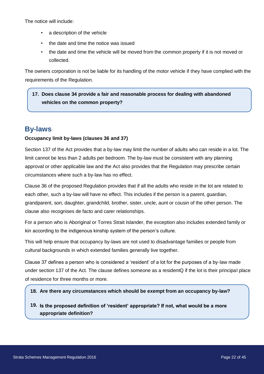The notice will include:

- a description of the vehicle
- the date and time the notice was issued
- the date and time the vehicle will be moved from the common property if it is not moved or collected.

The owners corporation is not be liable for its handling of the motor vehicle if they have complied with the requirements of the Regulation.

### **17. Does clause 34 provide a fair and reasonable process for dealing with abandoned vehicles on the common property?**

# <span id="page-22-0"></span>**By-laws**

#### **Occupancy limit by-laws (clauses 36 and 37)**

Section 137 of the Act provides that a by-law may limit the number of adults who can reside in a lot. The limit cannot be less than 2 adults per bedroom. The by-law must be consistent with any planning approval or other applicable law and the Act also provides that the Regulation may prescribe certain circumstances where such a by-law has no effect.

Clause 36 of the proposed Regulation provides that if all the adults who reside in the lot are related to each other, such a by-law will have no effect. This includes if the person is a parent, guardian, grandparent, son, daughter, grandchild, brother, sister, uncle, aunt or cousin of the other person. The clause also recognises de facto and carer relationships.

For a person who is Aboriginal or Torres Strait Islander, the exception also includes extended family or kin according to the indigenous kinship system of the person's culture.

This will help ensure that occupancy by-laws are not used to disadvantage families or people from cultural backgrounds in which extended families generally live together.

Clause 37 defines a person who is considered a 'resident' of a lot for the purposes of a by-law made under section 137 of the Act. The clause defines someone as a residentQ if the lot is their principal place of residence for three months or more.

#### **18. Are there any circumstances which should be exempt from an occupancy by-law?**

**19. Is the proposed definition of 'resident' appropriate? If not, what would be a more appropriate definition?**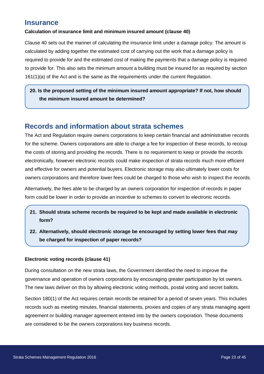### <span id="page-23-0"></span>**Insurance**

#### **Calculation of insurance limit and minimum insured amount (clause 40)**

Clause 40 sets out the manner of calculating the insurance limit under a damage policy. The amount is calculated by adding together the estimated cost of carrying out the work that a damage policy is required to provide for and the estimated cost of making the payments that a damage policy is required to provide for. This also sets the minimum amount a building must be insured for as required by section 161(1)(a) of the Act and is the same as the requirements under the current Regulation.

### **20. Is the proposed setting of the minimum insured amount appropriate? If not, how should the minimum insured amount be determined?**

# <span id="page-23-1"></span>**Records and information about strata schemes**

The Act and Regulation require owners corporations to keep certain financial and administrative records for the scheme. Owners corporations are able to charge a fee for inspection of these records, to recoup the costs of storing and providing the records. There is no requirement to keep or provide the records electronically, however electronic records could make inspection of strata records much more efficient and effective for owners and potential buyers. Electronic storage may also ultimately lower costs for owners corporations and therefore lower fees could be charged to those who wish to inspect the records.

Alternatively, the fees able to be charged by an owners corporation for inspection of records in paper form could be lower in order to provide an incentive to schemes to convert to electronic records.

- **21. Should strata scheme records be required to be kept and made available in electronic form?**
- **22. Alternatively, should electronic storage be encouraged by setting lower fees that may be charged for inspection of paper records?**

#### **Electronic voting records (clause 41)**

During consultation on the new strata laws, the Government identified the need to improve the governance and operation of owners corporations by encouraging greater participation by lot owners. The new laws deliver on this by allowing electronic voting methods, postal voting and secret ballots.

Section 180(1) of the Act requires certain records be retained for a period of seven years. This includes records such as meeting minutes, financial statements, proxies and copies of any strata managing agent agreement or building manager agreement entered into by the owners corporation. These documents are considered to be the owners corporations key business records.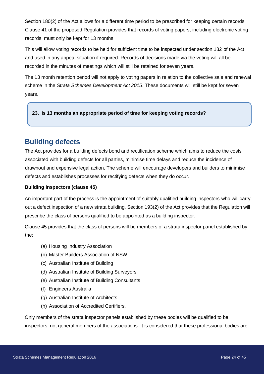Section 180(2) of the Act allows for a different time period to be prescribed for keeping certain records. Clause 41 of the proposed Regulation provides that records of voting papers, including electronic voting records, must only be kept for 13 months.

This will allow voting records to be held for sufficient time to be inspected under section 182 of the Act and used in any appeal situation if required. Records of decisions made via the voting will all be recorded in the minutes of meetings which will still be retained for seven years.

The 13 month retention period will not apply to voting papers in relation to the collective sale and renewal scheme in the *Strata Schemes Development Act 2015*. These documents will still be kept for seven years.

#### **23. Is 13 months an appropriate period of time for keeping voting records?**

# <span id="page-24-0"></span>**Building defects**

The Act provides for a building defects bond and rectification scheme which aims to reduce the costs associated with building defects for all parties, minimise time delays and reduce the incidence of drawnout and expensive legal action. The scheme will encourage developers and builders to minimise defects and establishes processes for rectifying defects when they do occur.

#### **Building inspectors (clause 45)**

An important part of the process is the appointment of suitably qualified building inspectors who will carry out a defect inspection of a new strata building. Section 193(2) of the Act provides that the Regulation will prescribe the class of persons qualified to be appointed as a building inspector.

Clause 45 provides that the class of persons will be members of a strata inspector panel established by the:

- (a) Housing Industry Association
- (b) Master Builders Association of NSW
- (c) Australian Institute of Building
- (d) Australian Institute of Building Surveyors
- (e) Australian Institute of Building Consultants
- (f) Engineers Australia
- (g) Australian Institute of Architects
- (h) Association of Accredited Certifiers.

Only members of the strata inspector panels established by these bodies will be qualified to be inspectors, not general members of the associations. It is considered that these professional bodies are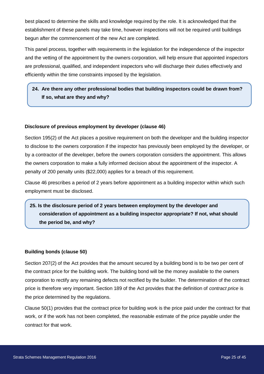best placed to determine the skills and knowledge required by the role. It is acknowledged that the establishment of these panels may take time, however inspections will not be required until buildings begun after the commencement of the new Act are completed.

This panel process, together with requirements in the legislation for the independence of the inspector and the vetting of the appointment by the owners corporation, will help ensure that appointed inspectors are professional, qualified, and independent inspectors who will discharge their duties effectively and efficiently within the time constraints imposed by the legislation.

### **24. Are there any other professional bodies that building inspectors could be drawn from? If so, what are they and why?**

#### **Disclosure of previous employment by developer (clause 46)**

Section 195(2) of the Act places a positive requirement on both the developer and the building inspector to disclose to the owners corporation if the inspector has previously been employed by the developer, or by a contractor of the developer, before the owners corporation considers the appointment. This allows the owners corporation to make a fully informed decision about the appointment of the inspector. A penalty of 200 penalty units (\$22,000) applies for a breach of this requirement.

Clause 46 prescribes a period of 2 years before appointment as a building inspector within which such employment must be disclosed.

### **25. Is the disclosure period of 2 years between employment by the developer and consideration of appointment as a building inspector appropriate? If not, what should the period be, and why?**

#### **Building bonds (clause 50)**

Section 207(2) of the Act provides that the amount secured by a building bond is to be two per cent of the contract price for the building work. The building bond will be the money available to the owners corporation to rectify any remaining defects not rectified by the builder. The determination of the contract price is therefore very important. Section 189 of the Act provides that the definition of *contract price* is the price determined by the regulations.

Clause 50(1) provides that the contract price for building work is the price paid under the contract for that work, or if the work has not been completed, the reasonable estimate of the price payable under the contract for that work.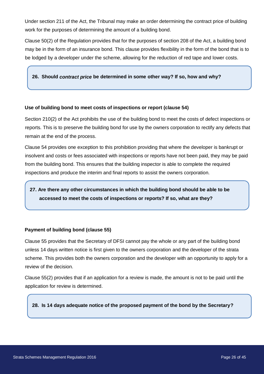Under section 211 of the Act, the Tribunal may make an order determining the contract price of building work for the purposes of determining the amount of a building bond.

Clause 50(2) of the Regulation provides that for the purposes of section 208 of the Act, a building bond may be in the form of an insurance bond. This clause provides flexibility in the form of the bond that is to be lodged by a developer under the scheme, allowing for the reduction of red tape and lower costs.

#### **26. Should** *contract price* **be determined in some other way? If so, how and why?**

#### **Use of building bond to meet costs of inspections or report (clause 54)**

Section 210(2) of the Act prohibits the use of the building bond to meet the costs of defect inspections or reports. This is to preserve the building bond for use by the owners corporation to rectify any defects that remain at the end of the process.

Clause 54 provides one exception to this prohibition providing that where the developer is bankrupt or insolvent and costs or fees associated with inspections or reports have not been paid, they may be paid from the building bond. This ensures that the building inspector is able to complete the required inspections and produce the interim and final reports to assist the owners corporation.

### **27. Are there any other circumstances in which the building bond should be able to be accessed to meet the costs of inspections or reports? If so, what are they?**

#### **Payment of building bond (clause 55)**

Clause 55 provides that the Secretary of DFSI cannot pay the whole or any part of the building bond unless 14 days written notice is first given to the owners corporation and the developer of the strata scheme. This provides both the owners corporation and the developer with an opportunity to apply for a review of the decision.

Clause 55(2) provides that if an application for a review is made, the amount is not to be paid until the application for review is determined.

#### **28. Is 14 days adequate notice of the proposed payment of the bond by the Secretary?**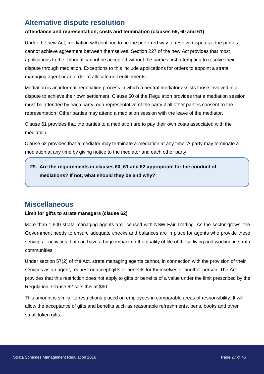# <span id="page-27-0"></span>**Alternative dispute resolution**

#### **Attendance and representation, costs and termination (clauses 59, 60 and 61)**

Under the new Act, mediation will continue to be the preferred way to resolve disputes if the parties cannot achieve agreement between themselves. Section 227 of the new Act provides that most applications to the Tribunal cannot be accepted without the parties first attempting to resolve their dispute through mediation. Exceptions to this include applications for orders to appoint a strata managing agent or an order to allocate unit entitlements.

Mediation is an informal negotiation process in which a neutral mediator assists those involved in a dispute to achieve their own settlement. Clause 60 of the Regulation provides that a mediation session must be attended by each party, or a representative of the party if all other parties consent to the representation. Other parties may attend a mediation session with the leave of the mediator.

Clause 61 provides that the parties to a mediation are to pay their own costs associated with the mediation.

Clause 62 provides that a mediator may terminate a mediation at any time. A party may terminate a mediation at any time by giving notice to the mediator and each other party.

### **29. Are the requirements in clauses 60, 61 and 62 appropriate for the conduct of mediations? If not, what should they be and why?**

# <span id="page-27-1"></span>**Miscellaneous**

#### **Limit for gifts to strata managers (clause 62)**

More than 1,600 strata managing agents are licensed with NSW Fair Trading. As the sector grows, the Government needs to ensure adequate checks and balances are in place for agents who provide these services – activities that can have a huge impact on the quality of life of those living and working in strata communities.

Under section 57(2) of the Act, strata managing agents cannot, in connection with the provision of their services as an agent, request or accept gifts or benefits for themselves or another person. The Act provides that this restriction does not apply to gifts or benefits of a value under the limit prescribed by the Regulation. Clause 62 sets this at \$60.

This amount is similar to restrictions placed on employees in comparable areas of responsibility. It will allow the acceptance of gifts and benefits such as reasonable refreshments, pens, books and other small token gifts.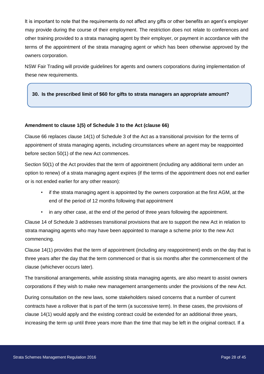It is important to note that the requirements do not affect any gifts or other benefits an agent's employer may provide during the course of their employment. The restriction does not relate to conferences and other training provided to a strata managing agent by their employer, or payment in accordance with the terms of the appointment of the strata managing agent or which has been otherwise approved by the owners corporation.

NSW Fair Trading will provide guidelines for agents and owners corporations during implementation of these new requirements.

#### **30. Is the prescribed limit of \$60 for gifts to strata managers an appropriate amount?**

#### **Amendment to clause 1(5) of Schedule 3 to the Act (clause 66)**

Clause 66 replaces clause 14(1) of Schedule 3 of the Act as a transitional provision for the terms of appointment of strata managing agents, including circumstances where an agent may be reappointed before section 50(1) of the new Act commences.

Section 50(1) of the Act provides that the term of appointment (including any additional term under an option to renew) of a strata managing agent expires (if the terms of the appointment does not end earlier or is not ended earlier for any other reason):

- if the strata managing agent is appointed by the owners corporation at the first AGM, at the end of the period of 12 months following that appointment
- in any other case, at the end of the period of three years following the appointment.

Clause 14 of Schedule 3 addresses transitional provisions that are to support the new Act in relation to strata managing agents who may have been appointed to manage a scheme prior to the new Act commencing.

Clause 14(1) provides that the term of appointment (including any reappointment) ends on the day that is three years after the day that the term commenced or that is six months after the commencement of the clause (whichever occurs later).

The transitional arrangements, while assisting strata managing agents, are also meant to assist owners corporations if they wish to make new management arrangements under the provisions of the new Act.

During consultation on the new laws, some stakeholders raised concerns that a number of current contracts have a rollover that is part of the term (a successive term). In these cases, the provisions of clause 14(1) would apply and the existing contract could be extended for an additional three years, increasing the term up until three years more than the time that may be left in the original contract. If a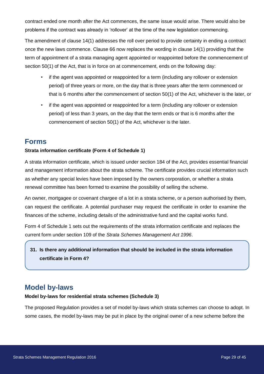contract ended one month after the Act commences, the same issue would arise. There would also be problems if the contract was already in 'rollover' at the time of the new legislation commencing.

The amendment of clause 14(1) addresses the roll over period to provide certainty in ending a contract once the new laws commence. Clause 66 now replaces the wording in clause 14(1) providing that the term of appointment of a strata managing agent appointed or reappointed before the commencement of section 50(1) of the Act, that is in force on at commencement, ends on the following day:

- if the agent was appointed or reappointed for a term (including any rollover or extension period) of three years or more, on the day that is three years after the term commenced or that is 6 months after the commencement of section 50(1) of the Act, whichever is the later, or
- if the agent was appointed or reappointed for a term (including any rollover or extension period) of less than 3 years, on the day that the term ends or that is 6 months after the commencement of section 50(1) of the Act, whichever is the later.

### <span id="page-29-0"></span>**Forms**

#### **Strata information certificate (Form 4 of Schedule 1)**

A strata information certificate, which is issued under section 184 of the Act, provides essential financial and management information about the strata scheme. The certificate provides crucial information such as whether any special levies have been imposed by the owners corporation, or whether a strata renewal committee has been formed to examine the possibility of selling the scheme.

An owner, mortgagee or covenant chargee of a lot in a strata scheme, or a person authorised by them, can request the certificate. A potential purchaser may request the certificate in order to examine the finances of the scheme, including details of the administrative fund and the capital works fund.

Form 4 of Schedule 1 sets out the requirements of the strata information certificate and replaces the current form under section 109 of the *Strata Schemes Management Act 1996*.

**31. Is there any additional information that should be included in the strata information certificate in Form 4?** 

# <span id="page-29-1"></span>**Model by-laws**

#### **Model by-laws for residential strata schemes (Schedule 3)**

The proposed Regulation provides a set of model by-laws which strata schemes can choose to adopt. In some cases, the model by-laws may be put in place by the original owner of a new scheme before the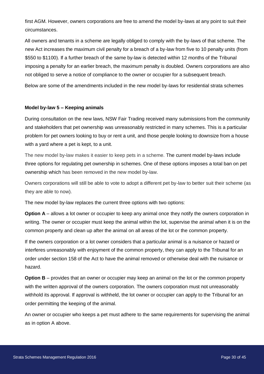first AGM. However, owners corporations are free to amend the model by-laws at any point to suit their circumstances.

All owners and tenants in a scheme are legally obliged to comply with the by-laws of that scheme. The new Act increases the maximum civil penalty for a breach of a by-law from five to 10 penalty units (from \$550 to \$1100). If a further breach of the same by-law is detected within 12 months of the Tribunal imposing a penalty for an earlier breach, the maximum penalty is doubled. Owners corporations are also not obliged to serve a notice of compliance to the owner or occupier for a subsequent breach.

Below are some of the amendments included in the new model by-laws for residential strata schemes

#### **Model by-law 5 – Keeping animals**

During consultation on the new laws, NSW Fair Trading received many submissions from the community and stakeholders that pet ownership was unreasonably restricted in many schemes. This is a particular problem for pet owners looking to buy or rent a unit, and those people looking to downsize from a house with a yard where a pet is kept, to a unit.

The new model by-law makes it easier to keep pets in a scheme. The current model by-laws include three options for regulating pet ownership in schemes. One of these options imposes a total ban on pet ownership which has been removed in the new model by-law.

Owners corporations will still be able to vote to adopt a different pet by-law to better suit their scheme (as they are able to now).

The new model by-law replaces the current three options with two options:

**Option A** – allows a lot owner or occupier to keep any animal once they notify the owners corporation in writing. The owner or occupier must keep the animal within the lot, supervise the animal when it is on the common property and clean up after the animal on all areas of the lot or the common property.

If the owners corporation or a lot owner considers that a particular animal is a nuisance or hazard or interferes unreasonably with enjoyment of the common property, they can apply to the Tribunal for an order under section 158 of the Act to have the animal removed or otherwise deal with the nuisance or hazard.

**Option B** – provides that an owner or occupier may keep an animal on the lot or the common property with the written approval of the owners corporation. The owners corporation must not unreasonably withhold its approval. If approval is withheld, the lot owner or occupier can apply to the Tribunal for an order permitting the keeping of the animal.

An owner or occupier who keeps a pet must adhere to the same requirements for supervising the animal as in option A above.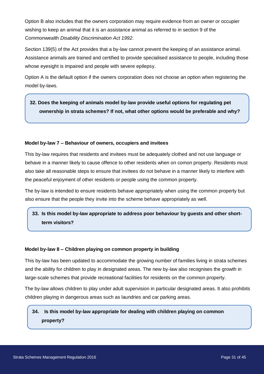Option B also includes that the owners corporation may require evidence from an owner or occupier wishing to keep an animal that it is an assistance animal as referred to in section 9 of the Commonwealth *Disability Discrimination Act 1992*.

Section 139(5) of the Act provides that a by-law cannot prevent the keeping of an assistance animal. Assistance animals are trained and certified to provide specialised assistance to people, including those whose eyesight is impaired and people with severe epilepsy.

Option A is the default option if the owners corporation does not choose an option when registering the model by-laws.

### **32. Does the keeping of animals model by-law provide useful options for regulating pet ownership in strata schemes? If not, what other options would be preferable and why?**

#### **Model by-law 7 – Behaviour of owners, occupiers and invitees**

This by-law requires that residents and invitees must be adequately clothed and not use language or behave in a manner likely to cause offence to other residents when on comon property. Residents must also take all reasonable steps to ensure that invitees do not behave in a manner likely to interfere with the peaceful enjoyment of other residents or people using the common property.

The by-law is intended to ensure residents behave appropriately when using the common property but also ensure that the people they invite into the scheme behave appropriately as well.

### **33. Is this model by-law appropriate to address poor behaviour by guests and other shortterm visitors?**

#### **Model by-law 8 – Children playing on common property in building**

This by-law has been updated to accommodate the growing number of families living in strata schemes and the ability for children to play in designated areas. The new by-law also recognises the growth in large-scale schemes that provide recreational facilities for residents on the common property.

The by-law allows children to play under adult supervision in particular designated areas. It also prohibits children playing in dangerous areas such as laundries and car parking areas.

### **34. Is this model by-law appropriate for dealing with children playing on common property?**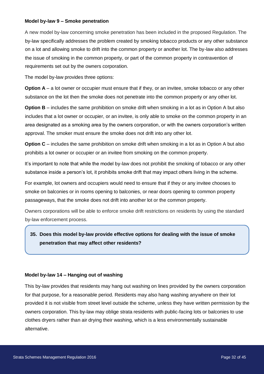#### **Model by-law 9 – Smoke penetration**

A new model by-law concerning smoke penetration has been included in the proposed Regulation. The by-law specifically addresses the problem created by smoking tobacco products or any other substance on a lot and allowing smoke to drift into the common property or another lot. The by-law also addresses the issue of smoking in the common property, or part of the common property in contravention of requirements set out by the owners corporation.

The model by-law provides three options:

**Option A** – a lot owner or occupier must ensure that if they, or an invitee, smoke tobacco or any other substance on the lot then the smoke does not penetrate into the common property or any other lot.

**Option B** – includes the same prohibition on smoke drift when smoking in a lot as in Option A but also includes that a lot owner or occupier, or an invitee, is only able to smoke on the common property in an area designated as a smoking area by the owners corporation, or with the owners corporation's written approval. The smoker must ensure the smoke does not drift into any other lot.

**Option C** – includes the same prohibition on smoke drift when smoking in a lot as in Option A but also prohibits a lot owner or occupier or an invitee from smoking on the common property.

It's important to note that while the model by-law does not prohibit the smoking of tobacco or any other substance inside a person's lot, it prohibits smoke drift that may impact others living in the scheme.

For example, lot owners and occupiers would need to ensure that if they or any invitee chooses to smoke on balconies or in rooms opening to balconies, or near doors opening to common property passageways, that the smoke does not drift into another lot or the common property.

Owners corporations will be able to enforce smoke drift restrictions on residents by using the standard by-law enforcement process.

### **35. Does this model by-law provide effective options for dealing with the issue of smoke penetration that may affect other residents?**

#### **Model by-law 14 – Hanging out of washing**

This by-law provides that residents may hang out washing on lines provided by the owners corporation for that purpose, for a reasonable period. Residents may also hang washing anywhere on their lot provided it is not visible from street level outside the scheme, unless they have written permission by the owners corporation. This by-law may oblige strata residents with public-facing lots or balconies to use clothes dryers rather than air drying their washing, which is a less environmentally sustainable alternative.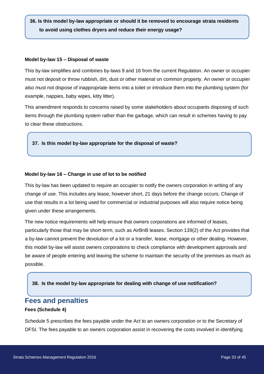**36. Is this model by-law appropriate or should it be removed to encourage strata residents to avoid using clothes dryers and reduce their energy usage?** 

#### **Model by-law 15 – Disposal of waste**

This by-law simplifies and combines by-laws 9 and 16 from the current Regulation. An owner or occupier must not deposit or throw rubbish, dirt, dust or other material on common property. An owner or occupier also must not dispose of inappropriate items into a toilet or introduce them into the plumbing system (for example, nappies, baby wipes, kitty litter).

This amendment responds to concerns raised by some stakeholders about occupants disposing of such items through the plumbing system rather than the garbage, which can result in schemes having to pay to clear these obstructions.

#### **37. Is this model by-law appropriate for the disposal of waste?**

#### **Model by-law 16 – Change in use of lot to be notified**

This by-law has been updated to require an occupier to notify the owners corporation in writing of any change of use. This includes any lease, however short, 21 days before the change occurs. Change of use that results in a lot being used for commercial or industrial purposes will also require notice being given under these arrangements.

The new notice requirements will help ensure that owners corporations are informed of leases, particularly those that may be short-term, such as AirBnB leases. Section 139(2) of the Act provides that a by-law cannot prevent the devolution of a lot or a transfer, lease, mortgage or other dealing. However, this model by-law will assist owners corporations to check compliance with development approvals and be aware of people entering and leaving the scheme to maintain the security of the premises as much as possible.

#### **38. Is the model by-law appropriate for dealing with change of use notification?**

### <span id="page-33-0"></span>**Fees and penalties**

#### **Fees (Schedule 4)**

Schedule 5 prescribes the fees payable under the Act to an owners corporation or to the Secretary of DFSI. The fees payable to an owners corporation assist in recovering the costs involved in identifying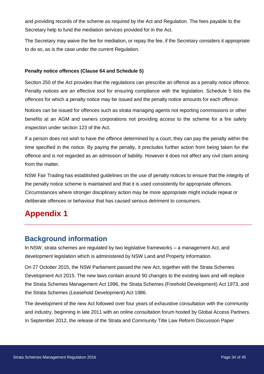and providing records of the scheme as required by the Act and Regulation. The fees payable to the Secretary help to fund the mediation services provided for in the Act.

The Secretary may waive the fee for mediation, or repay the fee, if the Secretary considers it appropriate to do so, as is the case under the current Regulation.

#### **Penalty notice offences (Clause 64 and Schedule 5)**

Section 250 of the Act provides that the regulations can prescribe an offence as a penalty notice offence. Penalty notices are an effective tool for ensuring compliance with the legislation. Schedule 5 lists the offences for which a penalty notice may be issued and the penalty notice amounts for each offence.

Notices can be issued for offences such as strata managing agents not reporting commissions or other benefits at an AGM and owners corporations not providing access to the scheme for a fire safety inspection under section 123 of the Act.

If a person does not wish to have the offence determined by a court, they can pay the penalty within the time specified in the notice. By paying the penalty, it precludes further action from being taken for the offence and is not regarded as an admission of liability. However it does not affect any civil claim arising from the matter.

NSW Fair Trading has established guidelines on the use of penalty notices to ensure that the integrity of the penalty notice scheme is maintained and that it is used consistently for appropriate offences. Circumstances where stronger disciplinary action may be more appropriate might include repeat or deliberate offences or behaviour that has caused serious detriment to consumers.

# <span id="page-34-0"></span>**Appendix 1**

### <span id="page-34-1"></span>**Background information**

In NSW, strata schemes are regulated by two legislative frameworks – a management Act, and development legislation which is administered by NSW Land and Property Information.

On 27 October 2015, the NSW Parliament passed the new Act, together with the Strata Schemes Development Act 2015. The new laws contain around 90 changes to the existing laws and will replace the Strata Schemes Management Act 1996, the Strata Schemes (Freehold Development) Act 1973, and the Strata Schemes (Leasehold Development) Act 1986.

The development of the new Act followed over four years of exhaustive consultation with the community and industry, beginning in late 2011 with an online consultation forum hosted by Global Access Partners. In September 2012, the release of the Strata and Community Title Law Reform Discussion Paper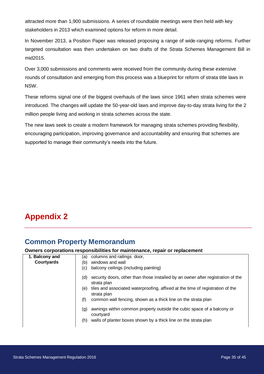attracted more than 1,900 submissions. A series of roundtable meetings were then held with key stakeholders in 2013 which examined options for reform in more detail.

In November 2013, a Position Paper was released proposing a range of wide-ranging reforms. Further targeted consultation was then undertaken on two drafts of the Strata Schemes Management Bill in mid2015.

Over 3,000 submissions and comments were received from the community during these extensive rounds of consultation and emerging from this process was a blueprint for reform of strata title laws in NSW.

These reforms signal one of the biggest overhauls of the laws since 1961 when strata schemes were introduced. The changes will update the 50-year-old laws and improve day-to-day strata living for the 2 million people living and working in strata schemes across the state.

The new laws seek to create a modern framework for managing strata schemes providing flexibility, encouraging participation, improving governance and accountability and ensuring that schemes are supported to manage their community's needs into the future.

# <span id="page-35-0"></span>**Appendix 2**

# <span id="page-35-1"></span>**Common Property Memorandum**

#### **Owners corporations responsibilities for maintenance, repair or replacement**

| 1. Balcony and    | columns and railings door,<br>(a)                                                                      |
|-------------------|--------------------------------------------------------------------------------------------------------|
| <b>Courtyards</b> | windows and wall<br>(b)                                                                                |
|                   | balcony ceilings (including painting)<br>(c)                                                           |
|                   | security doors, other than those installed by an owner after registration of the<br>(d)<br>strata plan |
|                   | tiles and associated waterproofing, affixed at the time of registration of the<br>(e)<br>strata plan   |
|                   | common wall fencing, shown as a thick line on the strata plan<br>(f)                                   |
|                   | awnings within common property outside the cubic space of a balcony or<br>(g)<br>courtyard             |
|                   | walls of planter boxes shown by a thick line on the strata plan<br>(h)                                 |
|                   |                                                                                                        |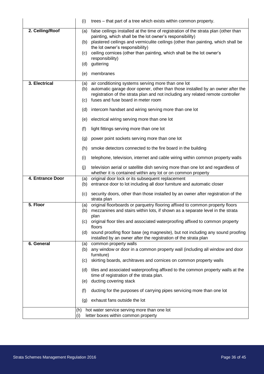|                  | (i)        | trees – that part of a tree which exists within common property.                                                                             |
|------------------|------------|----------------------------------------------------------------------------------------------------------------------------------------------|
| 2. Ceiling/Roof  | (a)        | false ceilings installed at the time of registration of the strata plan (other than                                                          |
|                  | (b)        | painting, which shall be the lot owner's responsibility)<br>plastered ceilings and vermiculite ceilings (other than painting, which shall be |
|                  |            | the lot owner's responsibility)                                                                                                              |
|                  | (c)        | ceiling cornices (other than painting, which shall be the lot owner's<br>responsibility)                                                     |
|                  | (d)        | guttering                                                                                                                                    |
|                  | (e)        | membranes                                                                                                                                    |
| 3. Electrical    | (a)        | air conditioning systems serving more than one lot                                                                                           |
|                  | (b)        | automatic garage door opener, other than those installed by an owner after the                                                               |
|                  | (c)        | registration of the strata plan and not including any related remote controller<br>fuses and fuse board in meter room                        |
|                  |            |                                                                                                                                              |
|                  | (d)        | intercom handset and wiring serving more than one lot                                                                                        |
|                  | (e)        | electrical wiring serving more than one lot                                                                                                  |
|                  | (f)        | light fittings serving more than one lot                                                                                                     |
|                  | (g)        | power point sockets serving more than one lot                                                                                                |
|                  | (h)        | smoke detectors connected to the fire board in the building                                                                                  |
|                  | (i)        | telephone, television, internet and cable wiring within common property walls                                                                |
|                  | (j)        | television aerial or satellite dish serving more than one lot and regardless of                                                              |
| 4. Entrance Door |            | whether it is contained within any lot or on common property                                                                                 |
|                  | (a)<br>(b) | original door lock or its subsequent replacement<br>entrance door to lot including all door furniture and automatic closer                   |
|                  | (c)        | security doors, other than those installed by an owner after registration of the                                                             |
|                  |            | strata plan                                                                                                                                  |
| 5. Floor         | (a)        | original floorboards or parquetry flooring affixed to common property floors                                                                 |
|                  | (b)        | mezzanines and stairs within lots, if shown as a separate level in the strata<br>plan                                                        |
|                  | (c)        | original floor tiles and associated waterproofing affixed to common property                                                                 |
|                  |            | floors<br>sound proofing floor base (eg magnesite), but not including any sound proofing                                                     |
|                  | (d)        | installed by an owner after the registration of the strata plan                                                                              |
| 6. General       | (a)        | common property walls                                                                                                                        |
|                  | (b)        | any window or door in a common property wall (including all window and door                                                                  |
|                  | (c)        | furniture)<br>skirting boards, architraves and cornices on common property walls                                                             |
|                  |            |                                                                                                                                              |
|                  |            | (d) tiles and associated waterproofing affixed to the common property walls at the<br>time of registration of the strata plan.               |
|                  | (e)        | ducting covering stack                                                                                                                       |
|                  | (f)        | ducting for the purposes of carrying pipes servicing more than one lot                                                                       |
|                  | (g)        | exhaust fans outside the lot                                                                                                                 |
|                  | (h)        | hot water service serving more than one lot                                                                                                  |
|                  | (i)        | letter boxes within common property                                                                                                          |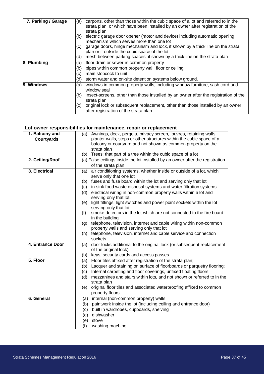| 7. Parking / Garage | (a) | carports, other than those within the cubic space of a lot and referred to in the                                               |
|---------------------|-----|---------------------------------------------------------------------------------------------------------------------------------|
|                     |     | strata plan, or which have been installed by an owner after registration of the<br>strata plan                                  |
|                     | (b) | electric garage door opener (motor and device) including automatic opening<br>mechanism which serves more than one lot          |
|                     | (C) | garage doors, hinge mechanism and lock, if shown by a thick line on the strata<br>plan or if outside the cubic space of the lot |
|                     | (d) | mesh between parking spaces, if shown by a thick line on the strata plan                                                        |
| 8. Plumbing         | (a) | floor drain or sewer in common property                                                                                         |
|                     | (b) | pipes within common property wall, floor or ceiling                                                                             |
|                     | (c) | main stopcock to unit                                                                                                           |
|                     | (d) | storm water and on-site detention systems below ground.                                                                         |
| 9. Windows          | (a) | windows in common property walls, including window furniture, sash cord and<br>window seal                                      |
|                     | (b) | insect-screens, other than those installed by an owner after the registration of the<br>strata plan                             |
|                     | (C) | original lock or subsequent replacement, other than those installed by an owner<br>after registration of the strata plan.       |

### **Lot owner responsibilities for maintenance, repair or replacement**

| 1. Balcony and    | Awnings, deck, pergola, privacy screen, louvres, retaining walls,<br>(a)                                              |
|-------------------|-----------------------------------------------------------------------------------------------------------------------|
| <b>Courtyards</b> | planter walls, steps or other structures within the cubic space of a                                                  |
|                   | balcony or courtyard and not shown as common property on the                                                          |
|                   | strata plan                                                                                                           |
|                   | Trees: that part of a tree within the cubic space of a lot<br>(b)                                                     |
| 2. Ceiling/Roof   | (a) False ceilings inside the lot installed by an owner after the registration                                        |
|                   | of the strata plan                                                                                                    |
| 3. Electrical     | air conditioning systems, whether inside or outside of a lot, which<br>(a)                                            |
|                   | serve only that one lot                                                                                               |
|                   | fuses and fuse board within the lot and serving only that lot<br>(b)                                                  |
|                   | in-sink food waste disposal systems and water filtration systems<br>(c)                                               |
|                   | electrical wiring in non-common property walls within a lot and<br>(d)                                                |
|                   | serving only that lot.                                                                                                |
|                   | light fittings, light switches and power point sockets within the lot<br>(e)                                          |
|                   | serving only that lot                                                                                                 |
|                   | smoke detectors in the lot which are not connected to the fire board<br>(f)                                           |
|                   | in the building                                                                                                       |
|                   | telephone, television, internet and cable wiring within non-common<br>(g)<br>property walls and serving only that lot |
|                   | telephone, television, internet and cable service and connection<br>(h)                                               |
|                   | sockets                                                                                                               |
| 4. Entrance Door  | door locks additional to the original lock (or subsequent replacement<br>(a)                                          |
|                   | of the original lock)                                                                                                 |
|                   | keys, security cards and access passes<br>(b)                                                                         |
| 5. Floor          | Floor tiles affixed after registration of the strata plan;<br>(a)                                                     |
|                   | Lacquer and staining on surface of floorboards or parquetry flooring;<br>(b)                                          |
|                   | Internal carpeting and floor coverings, unfixed floating floors<br>(c)                                                |
|                   | mezzanines and stairs within lots, and not shown or referred to in the<br>(d)                                         |
|                   | strata plan                                                                                                           |
|                   | original floor tiles and associated waterproofing affixed to common<br>(e)                                            |
|                   | property floors                                                                                                       |
| 6. General        | internal (non-common property) walls<br>(a)                                                                           |
|                   | paintwork inside the lot (including ceiling and entrance door)<br>(b)                                                 |
|                   | built in wardrobes, cupboards, shelving<br>(c)                                                                        |
|                   | dishwasher<br>(d)                                                                                                     |
|                   | stove<br>(e)                                                                                                          |
|                   | (f)<br>washing machine                                                                                                |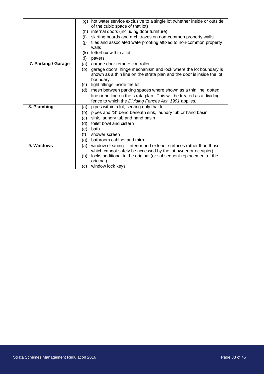|                     |     | (g) hot water service exclusive to a single lot (whether inside or outside |
|---------------------|-----|----------------------------------------------------------------------------|
|                     |     | of the cubic space of that lot)                                            |
|                     | (h) | internal doors (including door furniture)                                  |
|                     | (i) | skirting boards and architraves on non-common property walls               |
|                     | (j) | tiles and associated waterproofing affixed to non-common property<br>walls |
|                     | (k) | letterbox within a lot                                                     |
|                     | (1) | pavers                                                                     |
| 7. Parking / Garage | (a) | garage door remote controller                                              |
|                     | (b) | garage doors, hinge mechanism and lock where the lot boundary is           |
|                     |     | shown as a thin line on the strata plan and the door is inside the lot     |
|                     |     | boundary.                                                                  |
|                     | (c) | light fittings inside the lot                                              |
|                     |     | (d) mesh between parking spaces where shown as a thin line, dotted         |
|                     |     | line or no line on the strata plan. This will be treated as a dividing     |
|                     |     | fence to which the Dividing Fences Act, 1991 applies.                      |
| 8. Plumbing         | (a) | pipes within a lot, serving only that lot                                  |
|                     | (b) | pipes and "S" bend beneath sink, laundry tub or hand basin                 |
|                     | (c) | sink, laundry tub and hand basin                                           |
|                     | (d) | toilet bowl and cistern                                                    |
|                     | (e) | bath                                                                       |
|                     | (f) | shower screen                                                              |
|                     | (g) | bathroom cabinet and mirror                                                |
| 9. Windows          | (a) | window cleaning – interior and exterior surfaces (other than those         |
|                     |     | which cannot safely be accessed by the lot owner or occupier)              |
|                     | (b) | locks additional to the original (or subsequent replacement of the         |
|                     |     | original)                                                                  |
|                     | (c) | window lock keys                                                           |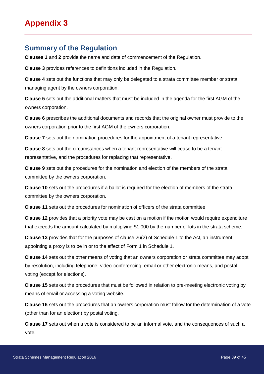# <span id="page-39-1"></span><span id="page-39-0"></span>**Summary of the Regulation**

**Clauses 1** and **2** provide the name and date of commencement of the Regulation.

**Clause 3** provides references to definitions included in the Regulation.

**Clause 4** sets out the functions that may only be delegated to a strata committee member or strata managing agent by the owners corporation.

**Clause 5** sets out the additional matters that must be included in the agenda for the first AGM of the owners corporation.

**Clause 6** prescribes the additional documents and records that the original owner must provide to the owners corporation prior to the first AGM of the owners corporation.

**Clause 7** sets out the nomination procedures for the appointment of a tenant representative.

**Clause 8** sets out the circumstances when a tenant representative will cease to be a tenant representative, and the procedures for replacing that representative.

**Clause 9** sets out the procedures for the nomination and election of the members of the strata committee by the owners corporation.

**Clause 10** sets out the procedures if a ballot is required for the election of members of the strata committee by the owners corporation.

**Clause 11** sets out the procedures for nomination of officers of the strata committee.

**Clause 12** provides that a priority vote may be cast on a motion if the motion would require expenditure that exceeds the amount calculated by multiplying \$1,000 by the number of lots in the strata scheme.

**Clause 13** provides that for the purposes of clause 26(2) of Schedule 1 to the Act, an instrument appointing a proxy is to be in or to the effect of Form 1 in Schedule 1.

**Clause 14** sets out the other means of voting that an owners corporation or strata committee may adopt by resolution, including telephone, video-conferencing, email or other electronic means, and postal voting (except for elections).

**Clause 15** sets out the procedures that must be followed in relation to pre-meeting electronic voting by means of email or accessing a voting website.

**Clause 16** sets out the procedures that an owners corporation must follow for the determination of a vote (other than for an election) by postal voting.

**Clause 17** sets out when a vote is considered to be an informal vote, and the consequences of such a vote.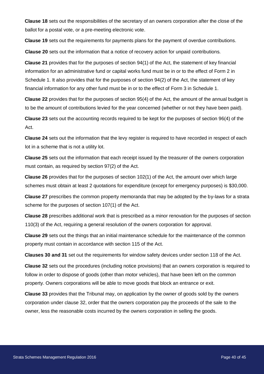**Clause 18** sets out the responsibilities of the secretary of an owners corporation after the close of the ballot for a postal vote, or a pre-meeting electronic vote.

**Clause 19** sets out the requirements for payments plans for the payment of overdue contributions.

**Clause 20** sets out the information that a notice of recovery action for unpaid contributions.

**Clause 21** provides that for the purposes of section 94(1) of the Act, the statement of key financial information for an administrative fund or capital works fund must be in or to the effect of Form 2 in Schedule 1. It also provides that for the purposes of section 94(2) of the Act, the statement of key financial information for any other fund must be in or to the effect of Form 3 in Schedule 1.

**Clause 22** provides that for the purposes of section 95(4) of the Act, the amount of the annual budget is to be the amount of contributions levied for the year concerned (whether or not they have been paid).

**Clause 23** sets out the accounting records required to be kept for the purposes of section 96(4) of the Act.

**Clause 24** sets out the information that the levy register is required to have recorded in respect of each lot in a scheme that is not a utility lot.

**Clause 25** sets out the information that each receipt issued by the treasurer of the owners corporation must contain, as required by section 97(2) of the Act.

**Clause 26** provides that for the purposes of section 102(1) of the Act, the amount over which large schemes must obtain at least 2 quotations for expenditure (except for emergency purposes) is \$30,000.

**Clause 27** prescribes the common property memoranda that may be adopted by the by-laws for a strata scheme for the purposes of section 107(1) of the Act.

**Clause 28** prescribes additional work that is prescribed as a minor renovation for the purposes of section 110(3) of the Act, requiring a general resolution of the owners corporation for approval.

**Clause 29** sets out the things that an initial maintenance schedule for the maintenance of the common property must contain in accordance with section 115 of the Act.

**Clauses 30 and 31** set out the requirements for window safety devices under section 118 of the Act.

**Clause 32** sets out the procedures (including notice provisions) that an owners corporation is required to follow in order to dispose of goods (other than motor vehicles), that have been left on the common property. Owners corporations will be able to move goods that block an entrance or exit.

**Clause 33** provides that the Tribunal may, on application by the owner of goods sold by the owners corporation under clause 32, order that the owners corporation pay the proceeds of the sale to the owner, less the reasonable costs incurred by the owners corporation in selling the goods.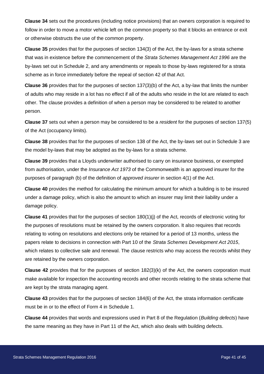**Clause 34** sets out the procedures (including notice provisions) that an owners corporation is required to follow in order to move a motor vehicle left on the common property so that it blocks an entrance or exit or otherwise obstructs the use of the common property.

**Clause 35** provides that for the purposes of section 134(3) of the Act, the by-laws for a strata scheme that was in existence before the commencement of the *Strata Schemes Management Act 1996* are the by-laws set out in Schedule 2, and any amendments or repeals to those by-laws registered for a strata scheme as in force immediately before the repeal of section 42 of that Act.

**Clause 36** provides that for the purposes of section 137(3)(b) of the Act, a by-law that limits the number of adults who may reside in a lot has no effect if all of the adults who reside in the lot are related to each other. The clause provides a definition of when a person may be considered to be related to another person.

**Clause 37** sets out when a person may be considered to be a *resident* for the purposes of section 137(5) of the Act (occupancy limits).

**Clause 38** provides that for the purposes of section 138 of the Act, the by-laws set out in Schedule 3 are the model by-laws that may be adopted as the by-laws for a strata scheme.

**Clause 39** provides that a Lloyds underwriter authorised to carry on insurance business, or exempted from authorisation, under the *Insurance Act 1973* of the Commonwealth is an approved insurer for the purposes of paragraph (b) of the definition of *approved insurer* in section 4(1) of the Act.

**Clause 40** provides the method for calculating the minimum amount for which a building is to be insured under a damage policy, which is also the amount to which an insurer may limit their liability under a damage policy.

**Clause 41** provides that for the purposes of section 180(1)(j) of the Act, records of electronic voting for the purposes of resolutions must be retained by the owners corporation. It also requires that records relating to voting on resolutions and elections only be retained for a period of 13 months, unless the papers relate to decisions in connection with Part 10 of the *Strata Schemes Development Act 2015*, which relates to collective sale and renewal. The clause restricts who may access the records whilst they are retained by the owners corporation.

**Clause 42** provides that for the purposes of section 182(3)(k) of the Act, the owners corporation must make available for inspection the accounting records and other records relating to the strata scheme that are kept by the strata managing agent.

**Clause 43** provides that for the purposes of section 184(6) of the Act, the strata information certificate must be in or to the effect of Form 4 in Schedule 1.

**Clause 44** provides that words and expressions used in Part 8 of the Regulation (*Building defects*) have the same meaning as they have in Part 11 of the Act, which also deals with building defects.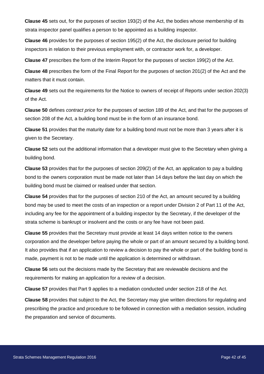**Clause 45** sets out, for the purposes of section 193(2) of the Act, the bodies whose membership of its strata inspector panel qualifies a person to be appointed as a building inspector.

**Clause 46** provides for the purposes of section 195(2) of the Act, the disclosure period for building inspectors in relation to their previous employment with, or contractor work for, a developer.

**Clause 47** prescribes the form of the Interim Report for the purposes of section 199(2) of the Act.

**Clause 48** prescribes the form of the Final Report for the purposes of section 201(2) of the Act and the matters that it must contain.

**Clause 49** sets out the requirements for the Notice to owners of receipt of Reports under section 202(3) of the Act.

**Clause 50** defines *contract price* for the purposes of section 189 of the Act, and that for the purposes of section 208 of the Act, a building bond must be in the form of an insurance bond.

**Clause 51** provides that the maturity date for a building bond must not be more than 3 years after it is given to the Secretary.

**Clause 52** sets out the additional information that a developer must give to the Secretary when giving a building bond.

**Clause 53** provides that for the purposes of section 209(2) of the Act, an application to pay a building bond to the owners corporation must be made not later than 14 days before the last day on which the building bond must be claimed or realised under that section.

**Clause 54** provides that for the purposes of section 210 of the Act, an amount secured by a building bond may be used to meet the costs of an inspection or a report under Division 2 of Part 11 of the Act, including any fee for the appointment of a building inspector by the Secretary, if the developer of the strata scheme is bankrupt or insolvent and the costs or any fee have not been paid.

**Clause 55** provides that the Secretary must provide at least 14 days written notice to the owners corporation and the developer before paying the whole or part of an amount secured by a building bond. It also provides that if an application to review a decision to pay the whole or part of the building bond is made, payment is not to be made until the application is determined or withdrawn.

**Clause 56** sets out the decisions made by the Secretary that are reviewable decisions and the requirements for making an application for a review of a decision.

**Clause 57** provides that Part 9 applies to a mediation conducted under section 218 of the Act.

**Clause 58** provides that subject to the Act, the Secretary may give written directions for regulating and prescribing the practice and procedure to be followed in connection with a mediation session, including the preparation and service of documents.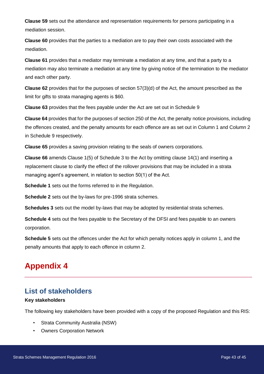**Clause 59** sets out the attendance and representation requirements for persons participating in a mediation session.

**Clause 60** provides that the parties to a mediation are to pay their own costs associated with the mediation.

**Clause 61** provides that a mediator may terminate a mediation at any time, and that a party to a mediation may also terminate a mediation at any time by giving notice of the termination to the mediator and each other party.

**Clause 62** provides that for the purposes of section 57(3)(d) of the Act, the amount prescribed as the limit for gifts to strata managing agents is \$60.

**Clause 63** provides that the fees payable under the Act are set out in Schedule 9

**Clause 64** provides that for the purposes of section 250 of the Act, the penalty notice provisions, including the offences created, and the penalty amounts for each offence are as set out in Column 1 and Column 2 in Schedule 9 respectively.

**Clause 65** provides a saving provision relating to the seals of owners corporations.

**Clause 66** amends Clause 1(5) of Schedule 3 to the Act by omitting clause 14(1) and inserting a replacement clause to clarify the effect of the rollover provisions that may be included in a strata managing agent's agreement, in relation to section 50(1) of the Act.

**Schedule 1** sets out the forms referred to in the Regulation.

**Schedule 2** sets out the by-laws for pre-1996 strata schemes.

**Schedules 3** sets out the model by-laws that may be adopted by residential strata schemes.

**Schedule 4** sets out the fees payable to the Secretary of the DFSI and fees payable to an owners corporation.

**Schedule 5** sets out the offences under the Act for which penalty notices apply in column 1, and the penalty amounts that apply to each offence in column 2.

# <span id="page-43-0"></span>**Appendix 4**

# <span id="page-43-1"></span>**List of stakeholders**

#### **Key stakeholders**

The following key stakeholders have been provided with a copy of the proposed Regulation and this RIS:

- Strata Community Australia (NSW)
- **Owners Corporation Network**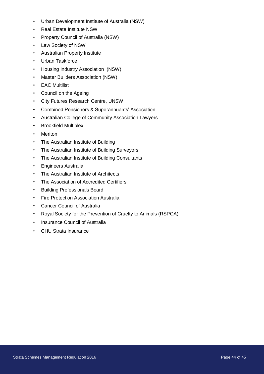- Urban Development Institute of Australia (NSW)
- Real Estate Institute NSW
- Property Council of Australia (NSW)
- Law Society of NSW
- Australian Property Institute
- Urban Taskforce
- Housing Industry Association (NSW)
- Master Builders Association (NSW)
- EAC Multilist
- Council on the Ageing
- City Futures Research Centre, UNSW
- Combined Pensioners & Superannuants' Association
- Australian College of Community Association Lawyers
- Brookfield Multiplex
- Meriton
- The Australian Institute of Building
- The Australian Institute of Building Surveyors
- The Australian Institute of Building Consultants
- Engineers Australia
- The Australian Institute of Architects
- The Association of Accredited Certifiers
- Building Professionals Board
- Fire Protection Association Australia
- Cancer Council of Australia
- Royal Society for the Prevention of Cruelty to Animals (RSPCA)
- Insurance Council of Australia
- CHU Strata Insurance